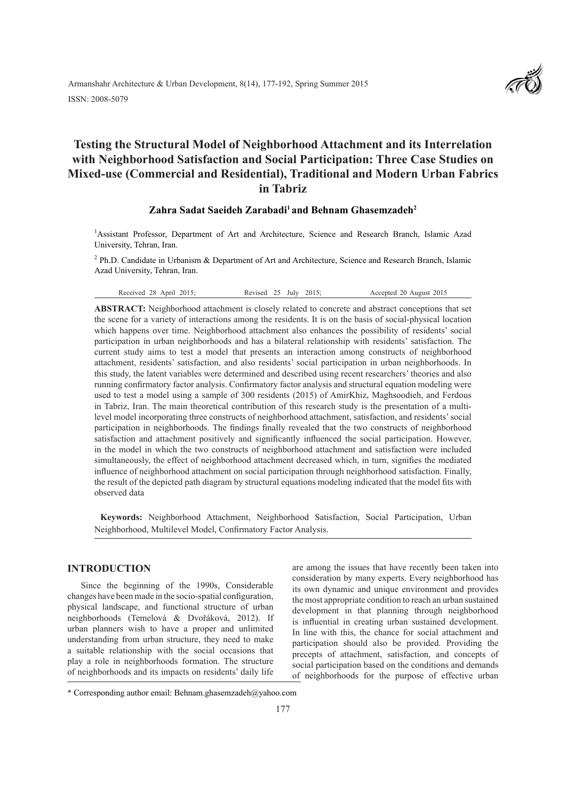# **Testing the Structural Model of Neighborhood Attachment and its Interrelation with Neighborhood Satisfaction and Social Participation: Three Case Studies on Mixed-use (Commercial and Residential), Traditional and Modern Urban Fabrics in Tabriz**

## **Zahra Sadat Saeideh Zarabadi1 and Behnam Ghasemzadeh2**

1 Assistant Professor, Department of Art and Architecture, Science and Research Branch, Islamic Azad University, Tehran, Iran.

<sup>2</sup> Ph.D. Candidate in Urbanism & Department of Art and Architecture, Science and Research Branch, Islamic Azad University, Tehran, Iran.

Received 28 April 2015; Revised 25 July 2015; Accepted 20 August 2015

**ABSTRACT:** Neighborhood attachment is closely related to concrete and abstract conceptions that set the scene for a variety of interactions among the residents. It is on the basis of social-physical location which happens over time. Neighborhood attachment also enhances the possibility of residents' social participation in urban neighborhoods and has a bilateral relationship with residents' satisfaction. The current study aims to test a model that presents an interaction among constructs of neighborhood attachment, residents' satisfaction, and also residents' social participation in urban neighborhoods. In this study, the latent variables were determined and described using recent researchers' theories and also running confirmatory factor analysis. Confirmatory factor analysis and structural equation modeling were used to test a model using a sample of 300 residents (2015) of AmirKhiz, Maghsoodieh, and Ferdous in Tabriz, Iran. The main theoretical contribution of this research study is the presentation of a multilevel model incorporating three constructs of neighborhood attachment, satisfaction, and residents' social participation in neighborhoods. The findings finally revealed that the two constructs of neighborhood satisfaction and attachment positively and significantly influenced the social participation. However, in the model in which the two constructs of neighborhood attachment and satisfaction were included simultaneously, the effect of neighborhood attachment decreased which, in turn, signifies the mediated influence of neighborhood attachment on social participation through neighborhood satisfaction. Finally, the result of the depicted path diagram by structural equations modeling indicated that the model fits with observed data

 **Keywords:** Neighborhood Attachment, Neighborhood Satisfaction, Social Participation, Urban Neighborhood, Multilevel Model, Confirmatory Factor Analysis.

## **INTRODUCTION**

Since the beginning of the 1990s, Considerable changes have been made in the socio-spatial configuration, physical landscape, and functional structure of urban neighborhoods (Temelová & Dvořáková, 2012). If urban planners wish to have a proper and unlimited understanding from urban structure, they need to make a suitable relationship with the social occasions that play a role in neighborhoods formation. The structure of neighborhoods and its impacts on residents' daily life

are among the issues that have recently been taken into consideration by many experts. Every neighborhood has its own dynamic and unique environment and provides the most appropriate condition to reach an urban sustained development in that planning through neighborhood is influential in creating urban sustained development. In line with this, the chance for social attachment and participation should also be provided. Providing the precepts of attachment, satisfaction, and concepts of social participation based on the conditions and demands of neighborhoods for the purpose of effective urban

<sup>\*</sup> Corresponding author email: Behnam.ghasemzadeh@yahoo.com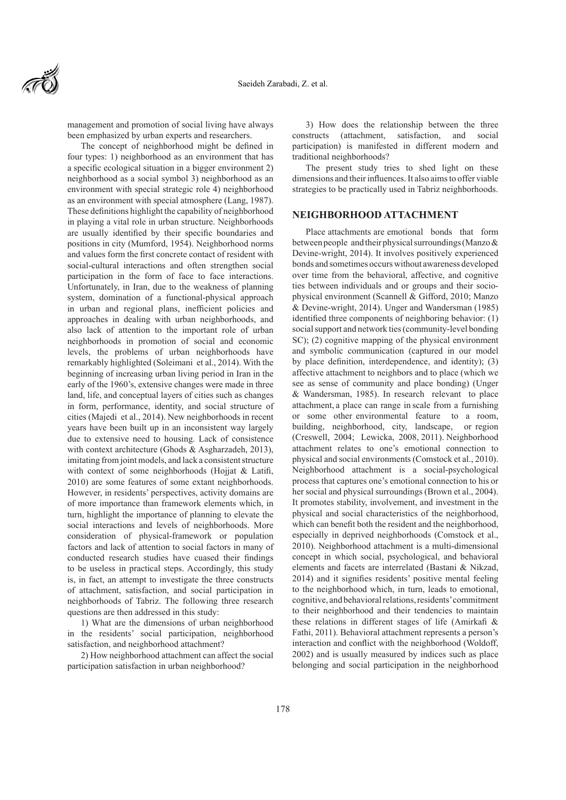

management and promotion of social living have always been emphasized by urban experts and researchers.

The concept of neighborhood might be defined in four types: 1) neighborhood as an environment that has a specific ecological situation in a bigger environment 2) neighborhood as a social symbol 3) neighborhood as an environment with special strategic role 4) neighborhood as an environment with special atmosphere (Lang, 1987). These definitions highlight the capability of neighborhood in playing a vital role in urban structure. Neighborhoods are usually identified by their specific boundaries and positions in city (Mumford, 1954). Neighborhood norms and values form the first concrete contact of resident with social-cultural interactions and often strengthen social participation in the form of face to face interactions. Unfortunately, in Iran, due to the weakness of planning system, domination of a functional-physical approach in urban and regional plans, inefficient policies and approaches in dealing with urban neighborhoods, and also lack of attention to the important role of urban neighborhoods in promotion of social and economic levels, the problems of urban neighborhoods have remarkably highlighted (Soleimani et al., 2014). With the beginning of increasing urban living period in Iran in the early of the 1960's, extensive changes were made in three land, life, and conceptual layers of cities such as changes in form, performance, identity, and social structure of cities (Majedi et al., 2014). New neighborhoods in recent years have been built up in an inconsistent way largely due to extensive need to housing. Lack of consistence with context architecture (Ghods & Asgharzadeh, 2013), imitating from joint models, and lack a consistent structure with context of some neighborhoods (Hojjat & Latifi, 2010) are some features of some extant neighborhoods. However, in residents' perspectives, activity domains are of more importance than framework elements which, in turn, highlight the importance of planning to elevate the social interactions and levels of neighborhoods. More consideration of physical-framework or population factors and lack of attention to social factors in many of conducted research studies have cuased their findings to be useless in practical steps. Accordingly, this study is, in fact, an attempt to investigate the three constructs of attachment, satisfaction, and social participation in neighborhoods of Tabriz. The following three research questions are then addressed in this study:

1) What are the dimensions of urban neighborhood in the residents' social participation, neighborhood satisfaction, and neighborhood attachment?

2) How neighborhood attachment can affect the social participation satisfaction in urban neighborhood?

3) How does the relationship between the three constructs (attachment, satisfaction, and social participation) is manifested in different modern and traditional neighborhoods?

The present study tries to shed light on these dimensions and their influences. It also aims to offer viable strategies to be practically used in Tabriz neighborhoods.

## **NEIGHBORHOOD ATTACHMENT**

Place attachments are emotional bonds that form between people and their physical surroundings (Manzo & Devine-wright, 2014). It involves positively experienced bonds and sometimes occurs without awareness developed over time from the behavioral, affective, and cognitive ties between individuals and or groups and their sociophysical environment (Scannell & Gifford, 2010; Manzo & Devine-wright, 2014). Unger and Wandersman (1985) identified three components of neighboring behavior: (1) social support and network ties (community-level bonding SC); (2) cognitive mapping of the physical environment and symbolic communication (captured in our model by place definition, interdependence, and identity); (3) affective attachment to neighbors and to place (which we see as sense of community and place bonding) (Unger & Wandersman, 1985). In research relevant to place attachment, a place can range in scale from a furnishing or some other environmental feature to a room, building, neighborhood, city, landscape, or region (Creswell, 2004; Lewicka, 2008, 2011). Neighborhood attachment relates to one's emotional connection to physical and social environments (Comstock et al., 2010). Neighborhood attachment is a social-psychological process that captures one's emotional connection to his or her social and physical surroundings (Brown et al., 2004). It promotes stability, involvement, and investment in the physical and social characteristics of the neighborhood, which can benefit both the resident and the neighborhood, especially in deprived neighborhoods (Comstock et al., 2010). Neighborhood attachment is a multi-dimensional concept in which social, psychological, and behavioral elements and facets are interrelated (Bastani & Nikzad, 2014) and it signifies residents' positive mental feeling to the neighborhood which, in turn, leads to emotional, cognitive, and behavioral relations, residents' commitment to their neighborhood and their tendencies to maintain these relations in different stages of life (Amirkafi & Fathi, 2011). Behavioral attachment represents a person's interaction and conflict with the neighborhood (Woldoff, 2002) and is usually measured by indices such as place belonging and social participation in the neighborhood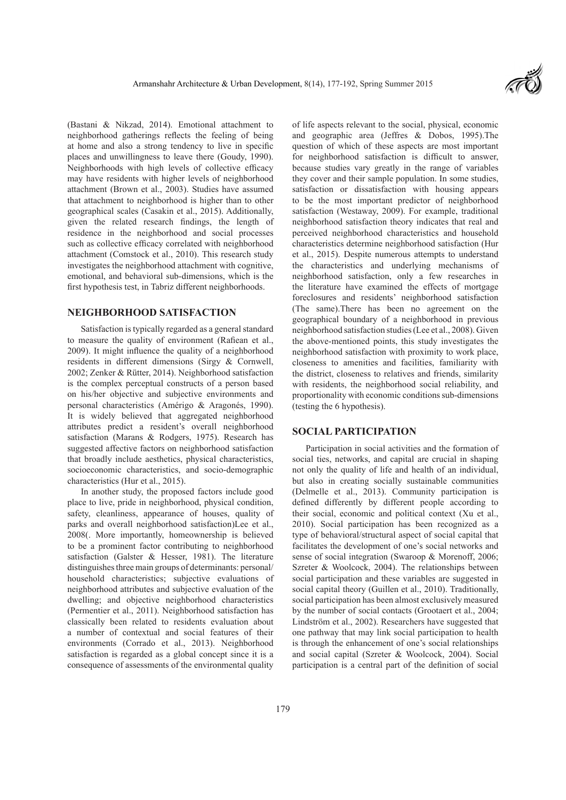

(Bastani & Nikzad, 2014). Emotional attachment to neighborhood gatherings reflects the feeling of being at home and also a strong tendency to live in specific places and unwillingness to leave there (Goudy, 1990). Neighborhoods with high levels of collective efficacy may have residents with higher levels of neighborhood attachment (Brown et al., 2003). Studies have assumed that attachment to neighborhood is higher than to other geographical scales (Casakin et al., 2015). Additionally, given the related research findings, the length of residence in the neighborhood and social processes such as collective efficacy correlated with neighborhood attachment (Comstock et al., 2010). This research study investigates the neighborhood attachment with cognitive, emotional, and behavioral sub-dimensions, which is the first hypothesis test, in Tabriz different neighborhoods.

## **NEIGHBORHOOD SATISFACTION**

Satisfaction is typically regarded as a general standard to measure the quality of environment (Rafiean et al., 2009). It might influence the quality of a neighborhood residents in different dimensions (Sirgy & Cornwell, 2002; Zenker & Rütter, 2014). Neighborhood satisfaction is the complex perceptual constructs of a person based on his/her objective and subjective environments and personal characteristics (Amérigo & Aragonés, 1990). It is widely believed that aggregated neighborhood attributes predict a resident's overall neighborhood satisfaction (Marans & Rodgers, 1975). Research has suggested affective factors on neighborhood satisfaction that broadly include aesthetics, physical characteristics, socioeconomic characteristics, and socio-demographic characteristics (Hur et al., 2015).

In another study, the proposed factors include good place to live, pride in neighborhood, physical condition, safety, cleanliness, appearance of houses, quality of parks and overall neighborhood satisfaction)Lee et al., 2008(. More importantly, homeownership is believed to be a prominent factor contributing to neighborhood satisfaction (Galster & Hesser, 1981). The literature distinguishes three main groups of determinants: personal/ household characteristics; subjective evaluations of neighborhood attributes and subjective evaluation of the dwelling; and objective neighborhood characteristics (Permentier et al., 2011). Neighborhood satisfaction has classically been related to residents evaluation about a number of contextual and social features of their environments (Corrado et al., 2013). Neighborhood satisfaction is regarded as a global concept since it is a consequence of assessments of the environmental quality

of life aspects relevant to the social, physical, economic and geographic area (Jeffres & Dobos, 1995).The question of which of these aspects are most important for neighborhood satisfaction is difficult to answer, because studies vary greatly in the range of variables they cover and their sample population. In some studies, satisfaction or dissatisfaction with housing appears to be the most important predictor of neighborhood satisfaction (Westaway, 2009). For example, traditional neighborhood satisfaction theory indicates that real and perceived neighborhood characteristics and household characteristics determine neighborhood satisfaction (Hur et al., 2015). Despite numerous attempts to understand the characteristics and underlying mechanisms of neighborhood satisfaction, only a few researches in the literature have examined the effects of mortgage foreclosures and residents' neighborhood satisfaction (The same).There has been no agreement on the geographical boundary of a neighborhood in previous neighborhood satisfaction studies (Lee et al., 2008). Given the above-mentioned points, this study investigates the neighborhood satisfaction with proximity to work place, closeness to amenities and facilities, familiarity with the district, closeness to relatives and friends, similarity with residents, the neighborhood social reliability, and proportionality with economic conditions sub-dimensions (testing the 6 hypothesis).

## **SOCIAL PARTICIPATION**

Participation in social activities and the formation of social ties, networks, and capital are crucial in shaping not only the quality of life and health of an individual, but also in creating socially sustainable communities (Delmelle et al., 2013). Community participation is defined differently by different people according to their social, economic and political context (Xu et al., 2010). Social participation has been recognized as a type of behavioral/structural aspect of social capital that facilitates the development of one's social networks and sense of social integration (Swaroop & Morenoff, 2006; Szreter & Woolcock, 2004). The relationships between social participation and these variables are suggested in social capital theory (Guillen et al., 2010). Traditionally, social participation has been almost exclusively measured by the number of social contacts (Grootaert et al., 2004; Lindström et al., 2002). Researchers have suggested that one pathway that may link social participation to health is through the enhancement of one's social relationships and social capital (Szreter & Woolcock, 2004). Social participation is a central part of the definition of social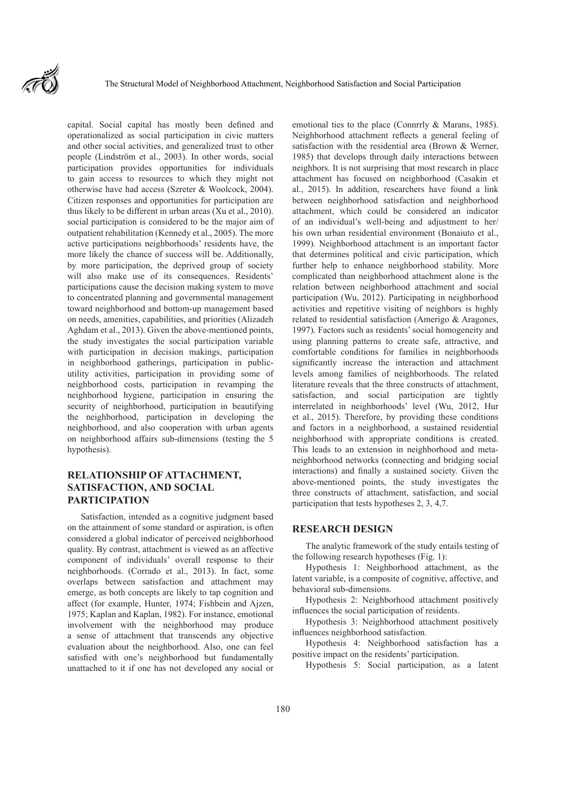

capital. Social capital has mostly been defined and operationalized as social participation in civic matters and other social activities, and generalized trust to other people (Lindström et al., 2003). In other words, social participation provides opportunities for individuals to gain access to resources to which they might not otherwise have had access (Szreter & Woolcock, 2004). Citizen responses and opportunities for participation are thus likely to be different in urban areas (Xu et al., 2010). social participation is considered to be the major aim of outpatient rehabilitation (Kennedy et al., 2005). The more active participations neighborhoods' residents have, the more likely the chance of success will be. Additionally, by more participation, the deprived group of society will also make use of its consequences. Residents' participations cause the decision making system to move to concentrated planning and governmental management toward neighborhood and bottom-up management based on needs, amenities, capabilities, and priorities (Alizadeh Aghdam et al., 2013). Given the above-mentioned points, the study investigates the social participation variable with participation in decision makings, participation in neighborhood gatherings, participation in publicutility activities, participation in providing some of neighborhood costs, participation in revamping the neighborhood hygiene, participation in ensuring the security of neighborhood, participation in beautifying the neighborhood, participation in developing the neighborhood, and also cooperation with urban agents on neighborhood affairs sub-dimensions (testing the 5 hypothesis).

## **RELATIONSHIP OF ATTACHMENT, SATISFACTION, AND SOCIAL PARTICIPATION**

Satisfaction, intended as a cognitive judgment based on the attainment of some standard or aspiration, is often considered a global indicator of perceived neighborhood quality. By contrast, attachment is viewed as an affective component of individuals' overall response to their neighborhoods. (Corrado et al., 2013). In fact, some overlaps between satisfaction and attachment may emerge, as both concepts are likely to tap cognition and affect (for example, Hunter, 1974; Fishbein and Ajzen, 1975; Kaplan and Kaplan, 1982). For instance, emotional involvement with the neighborhood may produce a sense of attachment that transcends any objective evaluation about the neighborhood. Also, one can feel satisfied with one's neighborhood but fundamentally unattached to it if one has not developed any social or

emotional ties to the place (Connrrly & Marans, 1985). Neighborhood attachment reflects a general feeling of satisfaction with the residential area (Brown & Werner, 1985) that develops through daily interactions between neighbors. It is not surprising that most research in place attachment has focused on neighborhood (Casakin et al., 2015). In addition, researchers have found a link between neighborhood satisfaction and neighborhood attachment, which could be considered an indicator of an individual's well-being and adjustment to her/ his own urban residential environment (Bonaiuto et al., 1999). Neighborhood attachment is an important factor that determines political and civic participation, which further help to enhance neighborhood stability. More complicated than neighborhood attachment alone is the relation between neighborhood attachment and social participation (Wu, 2012). Participating in neighborhood activities and repetitive visiting of neighbors is highly related to residential satisfaction (Amerigo & Aragones, 1997). Factors such as residents' social homogeneity and using planning patterns to create safe, attractive, and comfortable conditions for families in neighborhoods significantly increase the interaction and attachment levels among families of neighborhoods. The related literature reveals that the three constructs of attachment, satisfaction, and social participation are tightly interrelated in neighborhoods' level (Wu, 2012, Hur et al., 2015). Therefore, by providing these conditions and factors in a neighborhood, a sustained residential neighborhood with appropriate conditions is created. This leads to an extension in neighborhood and metaneighborhood networks (connecting and bridging social interactions) and finally a sustained society. Given the above-mentioned points, the study investigates the three constructs of attachment, satisfaction, and social participation that tests hypotheses 2, 3, 4,7.

## **RESEARCH DESIGN**

The analytic framework of the study entails testing of the following research hypotheses (Fig. 1):

Hypothesis 1: Neighborhood attachment, as the latent variable, is a composite of cognitive, affective, and behavioral sub-dimensions.

Hypothesis 2: Neighborhood attachment positively influences the social participation of residents.

Hypothesis 3: Neighborhood attachment positively influences neighborhood satisfaction.

Hypothesis 4: Neighborhood satisfaction has a positive impact on the residents' participation.

Hypothesis 5: Social participation, as a latent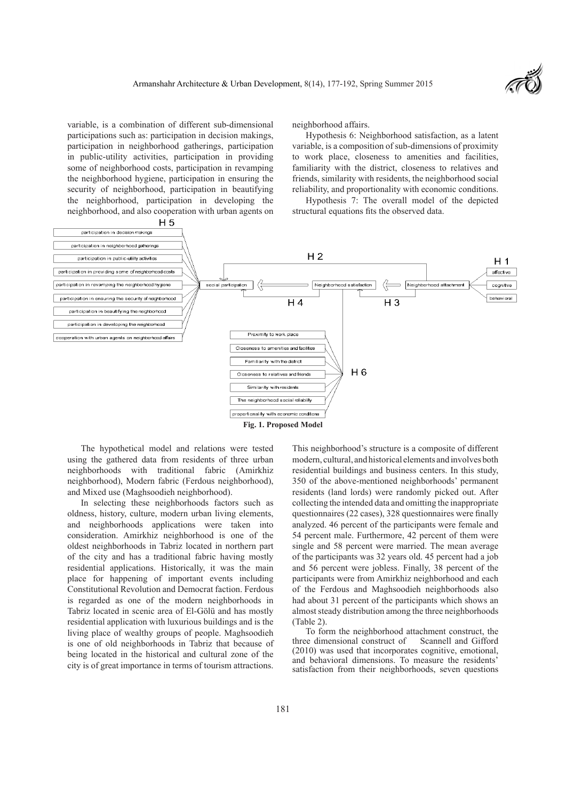variable, is a combination of different sub-dimensional participations such as: participation in decision makings, participation in neighborhood gatherings, participation in public-utility activities, participation in providing some of neighborhood costs, participation in revamping the neighborhood hygiene, participation in ensuring the security of neighborhood, participation in beautifying the neighborhood, participation in developing the neighborhood, and also cooperation with urban agents on neighborhood affairs.

Hypothesis 6: Neighborhood satisfaction, as a latent variable, is a composition of sub-dimensions of proximity to work place, closeness to amenities and facilities, familiarity with the district, closeness to relatives and friends, similarity with residents, the neighborhood social reliability, and proportionality with economic conditions.

Hypothesis 7: The overall model of the depicted structural equations fits the observed data.



The hypothetical model and relations were tested using the gathered data from residents of three urban neighborhoods with traditional fabric (Amirkhiz neighborhood), Modern fabric (Ferdous neighborhood), and Mixed use (Maghsoodieh neighborhood).

In selecting these neighborhoods factors such as oldness, history, culture, modern urban living elements, and neighborhoods applications were taken into consideration. Amirkhiz neighborhood is one of the oldest neighborhoods in Tabriz located in northern part of the city and has a traditional fabric having mostly residential applications. Historically, it was the main place for happening of important events including Constitutional Revolution and Democrat faction. Ferdous is regarded as one of the modern neighborhoods in Tabriz located in scenic area of El-Gölü and has mostly residential application with luxurious buildings and is the living place of wealthy groups of people. Maghsoodieh is one of old neighborhoods in Tabriz that because of being located in the historical and cultural zone of the city is of great importance in terms of tourism attractions.

This neighborhood's structure is a composite of different modern, cultural, and historical elements and involves both residential buildings and business centers. In this study, 350 of the above-mentioned neighborhoods' permanent residents (land lords) were randomly picked out. After collecting the intended data and omitting the inappropriate questionnaires (22 cases), 328 questionnaires were finally analyzed. 46 percent of the participants were female and 54 percent male. Furthermore, 42 percent of them were single and 58 percent were married. The mean average of the participants was 32 years old. 45 percent had a job and 56 percent were jobless. Finally, 38 percent of the participants were from Amirkhiz neighborhood and each of the Ferdous and Maghsoodieh neighborhoods also had about 31 percent of the participants which shows an almost steady distribution among the three neighborhoods (Table 2).

To form the neighborhood attachment construct, the three dimensional construct of Scannell and Gifford (2010) was used that incorporates cognitive, emotional, and behavioral dimensions. To measure the residents' satisfaction from their neighborhoods, seven questions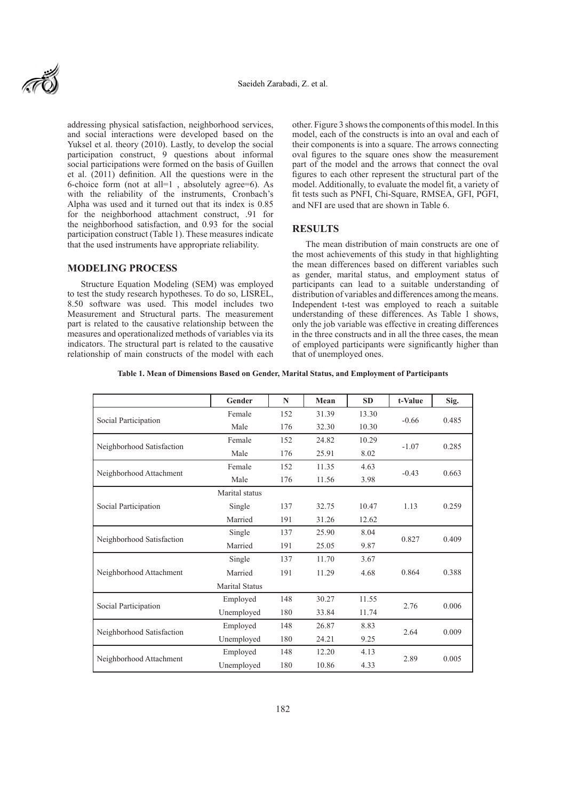

addressing physical satisfaction, neighborhood services, and social interactions were developed based on the Yuksel et al. theory (2010). Lastly, to develop the social participation construct, 9 questions about informal social participations were formed on the basis of Guillen et al. (2011) definition. All the questions were in the 6-choice form (not at all=1 , absolutely agree=6). As with the reliability of the instruments, Cronbach's Alpha was used and it turned out that its index is 0.85 for the neighborhood attachment construct, .91 for the neighborhood satisfaction, and 0.93 for the social participation construct (Table 1). These measures indicate that the used instruments have appropriate reliability.

## **MODELING PROCESS**

Structure Equation Modeling (SEM) was employed to test the study research hypotheses. To do so, LISREL, 8.50 software was used. This model includes two Measurement and Structural parts. The measurement part is related to the causative relationship between the measures and operationalized methods of variables via its indicators. The structural part is related to the causative relationship of main constructs of the model with each other. Figure 3 shows the components of this model. In this model, each of the constructs is into an oval and each of their components is into a square. The arrows connecting oval figures to the square ones show the measurement part of the model and the arrows that connect the oval figures to each other represent the structural part of the model. Additionally, to evaluate the model fit, a variety of fit tests such as PNFI, Chi-Square, RMSEA, GFI, PGFI, and NFI are used that are shown in Table 6.

#### **RESULTS**

The mean distribution of main constructs are one of the most achievements of this study in that highlighting the mean differences based on different variables such as gender, marital status, and employment status of participants can lead to a suitable understanding of distribution of variables and differences among the means. Independent t-test was employed to reach a suitable understanding of these differences. As Table 1 shows, only the job variable was effective in creating differences in the three constructs and in all the three cases, the mean of employed participants were significantly higher than that of unemployed ones.

**Table 1. Mean of Dimensions Based on Gender, Marital Status, and Employment of Participants**

|                           | Gender                | N   | Mean  | <b>SD</b> | t-Value | Sig.  |
|---------------------------|-----------------------|-----|-------|-----------|---------|-------|
|                           | Female                | 152 | 31.39 | 13.30     | $-0.66$ | 0.485 |
| Social Participation      | Male                  | 176 | 32.30 | 10.30     |         |       |
| Neighborhood Satisfaction | Female                | 152 | 24.82 | 10.29     | $-1.07$ | 0.285 |
|                           | Male                  | 176 | 25.91 | 8.02      |         |       |
| Neighborhood Attachment   | Female                | 152 | 11.35 | 4.63      | $-0.43$ | 0.663 |
|                           | Male                  | 176 | 11.56 | 3.98      |         |       |
|                           | Marital status        |     |       |           |         |       |
| Social Participation      | Single                | 137 | 32.75 | 10.47     | 1.13    | 0.259 |
|                           | Married               | 191 | 31.26 | 12.62     |         |       |
| Neighborhood Satisfaction | Single                | 137 | 25.90 | 8.04      | 0.827   | 0.409 |
|                           | Married               | 191 | 25.05 | 9.87      |         |       |
|                           | Single                | 137 | 11.70 | 3.67      |         |       |
| Neighborhood Attachment   | Married               | 191 | 11.29 | 4.68      | 0.864   | 0.388 |
|                           | <b>Marital Status</b> |     |       |           |         |       |
|                           | Employed              | 148 | 30.27 | 11.55     |         |       |
| Social Participation      | Unemployed            | 180 | 33.84 | 11.74     | 2.76    | 0.006 |
| Neighborhood Satisfaction | Employed              | 148 | 26.87 | 8.83      |         |       |
|                           | Unemployed            | 180 | 24.21 | 9.25      | 2.64    | 0.009 |
|                           | Employed              | 148 | 12.20 | 4.13      |         | 0.005 |
| Neighborhood Attachment   | Unemployed            | 180 | 10.86 | 4.33      | 2.89    |       |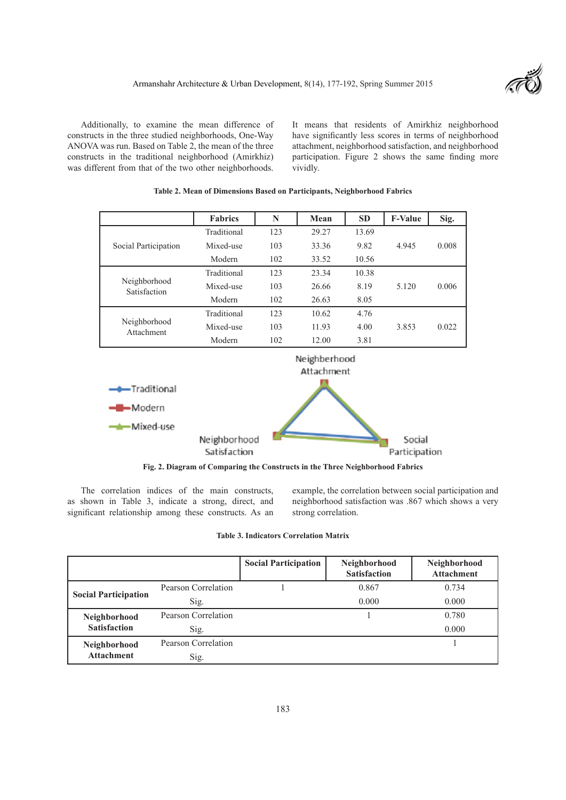

Additionally, to examine the mean difference of constructs in the three studied neighborhoods, One-Way ANOVA was run. Based on Table 2, the mean of the three constructs in the traditional neighborhood (Amirkhiz) was different from that of the two other neighborhoods.

It means that residents of Amirkhiz neighborhood have significantly less scores in terms of neighborhood attachment, neighborhood satisfaction, and neighborhood participation. Figure 2 shows the same finding more vividly.

|                              | <b>Fabrics</b>             | N   | Mean  | <b>SD</b> | <b>F-Value</b> | Sig.  |
|------------------------------|----------------------------|-----|-------|-----------|----------------|-------|
|                              | Traditional                | 123 | 29.27 | 13.69     |                |       |
| Social Participation         | Mixed-use                  | 103 | 33.36 | 9.82      | 4.945          | 0.008 |
|                              | Modern                     | 102 | 33.52 | 10.56     |                |       |
|                              | Traditional                | 123 | 23.34 | 10.38     |                |       |
| Neighborhood<br>Satisfaction | Mixed-use                  | 103 | 26.66 | 8.19      | 5.120          | 0.006 |
|                              | Modern                     | 102 | 26.63 | 8.05      |                |       |
|                              | Traditional                | 123 | 10.62 | 4.76      |                |       |
| Neighborhood<br>Attachment   | Mixed-use                  | 103 | 11.93 | 4.00      | 3.853          | 0.022 |
|                              | Modern                     | 102 | 12.00 | 3.81      |                |       |
|                              | Neighberhood<br>Attachment |     |       |           |                |       |
| Traditional<br>___           |                            |     |       |           |                |       |

**Table 2. Mean of Dimensions Based on Participants, Neighborhood Fabrics**



**Fig. 2. Diagram of Comparing the Constructs in the Three Neighborhood Fabrics**

The correlation indices of the main constructs, as shown in Table 3, indicate a strong, direct, and significant relationship among these constructs. As an example, the correlation between social participation and neighborhood satisfaction was .867 which shows a very strong correlation.

| <b>Table 3. Indicators Correlation Matrix</b> |  |
|-----------------------------------------------|--|
|-----------------------------------------------|--|

|                             |                     | <b>Social Participation</b> | Neighborhood<br><b>Satisfaction</b> | Neighborhood<br><b>Attachment</b> |
|-----------------------------|---------------------|-----------------------------|-------------------------------------|-----------------------------------|
|                             | Pearson Correlation |                             | 0.867                               | 0.734                             |
| <b>Social Participation</b> | Sig.                |                             | 0.000                               | 0.000                             |
| Neighborhood                | Pearson Correlation |                             |                                     | 0.780                             |
| <b>Satisfaction</b>         | Sig.                |                             |                                     | 0.000                             |
| Neighborhood                | Pearson Correlation |                             |                                     |                                   |
| <b>Attachment</b>           | Sig.                |                             |                                     |                                   |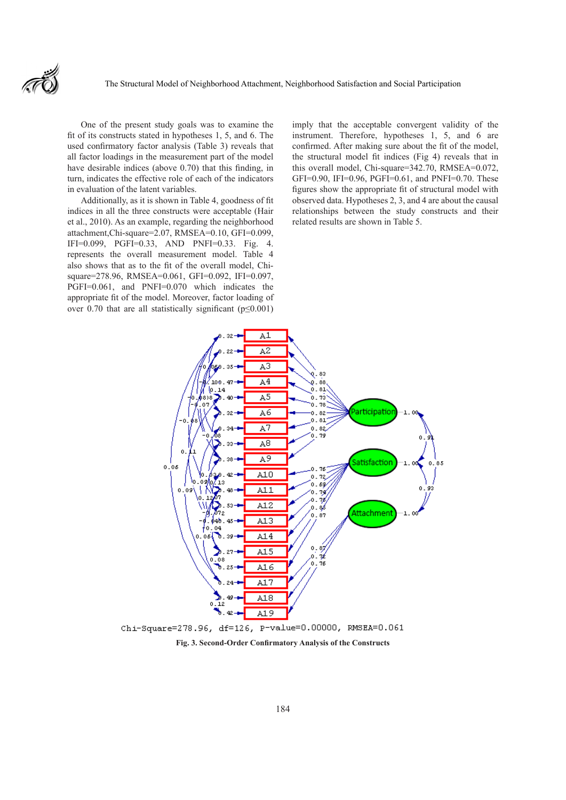One of the present study goals was to examine the fit of its constructs stated in hypotheses 1, 5, and 6. The used confirmatory factor analysis (Table 3) reveals that all factor loadings in the measurement part of the model have desirable indices (above 0.70) that this finding, in turn, indicates the effective role of each of the indicators in evaluation of the latent variables.

Additionally, as it is shown in Table 4, goodness of fit indices in all the three constructs were acceptable (Hair et al., 2010). As an example, regarding the neighborhood attachment,Chi-square=2.07, RMSEA=0.10, GFI=0.099, IFI=0.099, PGFI=0.33, AND PNFI=0.33. Fig. 4. represents the overall measurement model. Table 4 also shows that as to the fit of the overall model, Chisquare=278.96, RMSEA=0.061, GFI=0.092, IFI=0.097, PGFI=0.061, and PNFI=0.070 which indicates the appropriate fit of the model. Moreover, factor loading of over 0.70 that are all statistically significant ( $p \le 0.001$ )

imply that the acceptable convergent validity of the instrument. Therefore, hypotheses 1, 5, and 6 are confirmed. After making sure about the fit of the model, the structural model fit indices (Fig 4) reveals that in this overall model, Chi-square=342.70, RMSEA=0.072, GFI=0.90, IFI=0.96, PGFI=0.61, and PNFI=0.70. These figures show the appropriate fit of structural model with observed data. Hypotheses 2, 3, and 4 are about the causal relationships between the study constructs and their related results are shown in Table 5.



**Fig. 3. Second-Order Confirmatory Analysis of the Constructs**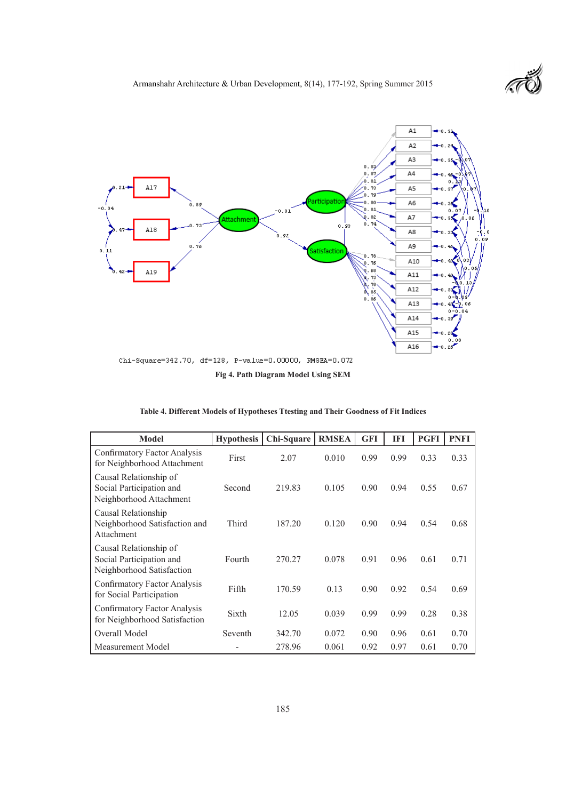

**Fig 4. Path Diagram Model Using SEM**

|  |  |  | Table 4. Different Models of Hypotheses Ttesting and Their Goodness of Fit Indices |
|--|--|--|------------------------------------------------------------------------------------|
|  |  |  |                                                                                    |

| <b>Model</b>                                                                    | <b>Hypothesis</b> | Chi-Square | <b>RMSEA</b> | <b>GFI</b> | IFI  | <b>PGFI</b> | <b>PNFI</b> |
|---------------------------------------------------------------------------------|-------------------|------------|--------------|------------|------|-------------|-------------|
| Confirmatory Factor Analysis<br>for Neighborhood Attachment                     | First             | 2.07       | 0.010        | 0.99       | 0.99 | 0.33        | 0.33        |
| Causal Relationship of<br>Social Participation and<br>Neighborhood Attachment   | Second            | 219.83     | 0.105        | 0.90       | 0.94 | 0.55        | 0.67        |
| Causal Relationship<br>Neighborhood Satisfaction and<br>Attachment              | Third             | 187.20     | 0.120        | 0.90       | 0.94 | 0.54        | 0.68        |
| Causal Relationship of<br>Social Participation and<br>Neighborhood Satisfaction | Fourth            | 270.27     | 0.078        | 0.91       | 0.96 | 0.61        | 0.71        |
| Confirmatory Factor Analysis<br>for Social Participation                        | Fifth             | 170.59     | 0.13         | 0.90       | 0.92 | 0.54        | 0.69        |
| Confirmatory Factor Analysis<br>for Neighborhood Satisfaction                   | Sixth             | 12.05      | 0.039        | 0.99       | 0.99 | 0.28        | 0.38        |
| Overall Model                                                                   | Seventh           | 342.70     | 0.072        | 0.90       | 0.96 | 0.61        | 0.70        |
| Measurement Model                                                               |                   | 278.96     | 0.061        | 0.92       | 0.97 | 0.61        | 0.70        |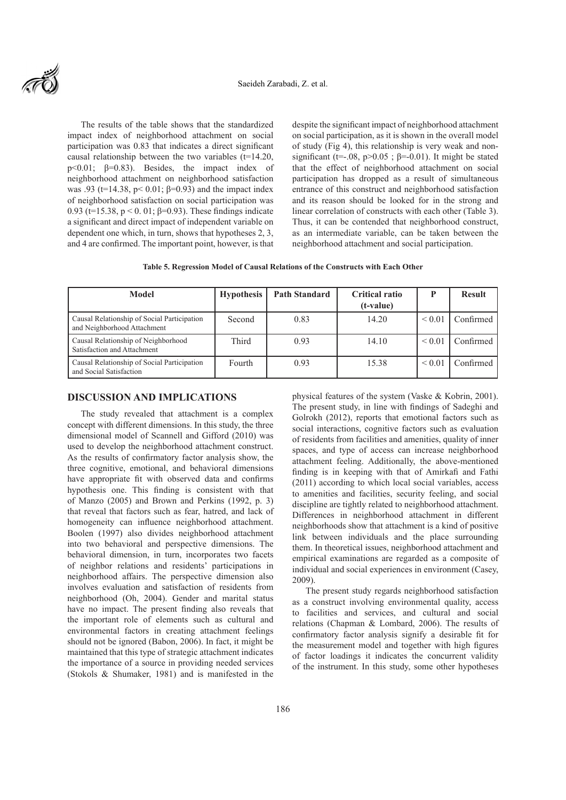

The results of the table shows that the standardized impact index of neighborhood attachment on social participation was 0.83 that indicates a direct significant causal relationship between the two variables (t=14.20, p<0.01; β=0.83). Besides, the impact index of neighborhood attachment on neighborhood satisfaction was .93 ( $t=14.38$ ,  $p<0.01$ ;  $\beta=0.93$ ) and the impact index of neighborhood satisfaction on social participation was 0.93 (t=15.38, p < 0. 01; β=0.93). These findings indicate a significant and direct impact of independent variable on dependent one which, in turn, shows that hypotheses 2, 3, and 4 are confirmed. The important point, however, is that

despite the significant impact of neighborhood attachment on social participation, as it is shown in the overall model of study (Fig 4), this relationship is very weak and nonsignificant (t=-.08, p>0.05;  $\beta$ =-0.01). It might be stated that the effect of neighborhood attachment on social participation has dropped as a result of simultaneous entrance of this construct and neighborhood satisfaction and its reason should be looked for in the strong and linear correlation of constructs with each other (Table 3). Thus, it can be contended that neighborhood construct, as an intermediate variable, can be taken between the neighborhood attachment and social participation.

**Table 5. Regression Model of Causal Relations of the Constructs with Each Other**

| Model                                                                      | <b>Hypothesis</b> | <b>Path Standard</b> | <b>Critical ratio</b><br>(t-value) |             | <b>Result</b> |
|----------------------------------------------------------------------------|-------------------|----------------------|------------------------------------|-------------|---------------|
| Causal Relationship of Social Participation<br>and Neighborhood Attachment | Second            | 0.83                 | 14.20                              | ${}_{0.01}$ | Confirmed     |
| Causal Relationship of Neighborhood<br>Satisfaction and Attachment         | Third             | 0.93                 | 14.10                              | ${}< 0.01$  | Confirmed     |
| Causal Relationship of Social Participation<br>and Social Satisfaction     | Fourth            | 0.93                 | 15.38                              | ${}_{0.01}$ | Confirmed     |

## **DISCUSSION AND IMPLICATIONS**

The study revealed that attachment is a complex concept with different dimensions. In this study, the three dimensional model of Scannell and Gifford (2010) was used to develop the neighborhood attachment construct. As the results of confirmatory factor analysis show, the three cognitive, emotional, and behavioral dimensions have appropriate fit with observed data and confirms hypothesis one. This finding is consistent with that of Manzo (2005) and Brown and Perkins (1992, p. 3) that reveal that factors such as fear, hatred, and lack of homogeneity can influence neighborhood attachment. Boolen (1997) also divides neighborhood attachment into two behavioral and perspective dimensions. The behavioral dimension, in turn, incorporates two facets of neighbor relations and residents' participations in neighborhood affairs. The perspective dimension also involves evaluation and satisfaction of residents from neighborhood (Oh, 2004). Gender and marital status have no impact. The present finding also reveals that the important role of elements such as cultural and environmental factors in creating attachment feelings should not be ignored (Babon, 2006). In fact, it might be maintained that this type of strategic attachment indicates the importance of a source in providing needed services (Stokols & Shumaker, 1981) and is manifested in the

physical features of the system (Vaske & Kobrin, 2001). The present study, in line with findings of Sadeghi and Golrokh (2012), reports that emotional factors such as social interactions, cognitive factors such as evaluation of residents from facilities and amenities, quality of inner spaces, and type of access can increase neighborhood attachment feeling. Additionally, the above-mentioned finding is in keeping with that of Amirkafi and Fathi (2011) according to which local social variables, access to amenities and facilities, security feeling, and social discipline are tightly related to neighborhood attachment. Differences in neighborhood attachment in different neighborhoods show that attachment is a kind of positive link between individuals and the place surrounding them. In theoretical issues, neighborhood attachment and empirical examinations are regarded as a composite of individual and social experiences in environment (Casey, 2009).

The present study regards neighborhood satisfaction as a construct involving environmental quality, access to facilities and services, and cultural and social relations (Chapman & Lombard, 2006). The results of confirmatory factor analysis signify a desirable fit for the measurement model and together with high figures of factor loadings it indicates the concurrent validity of the instrument. In this study, some other hypotheses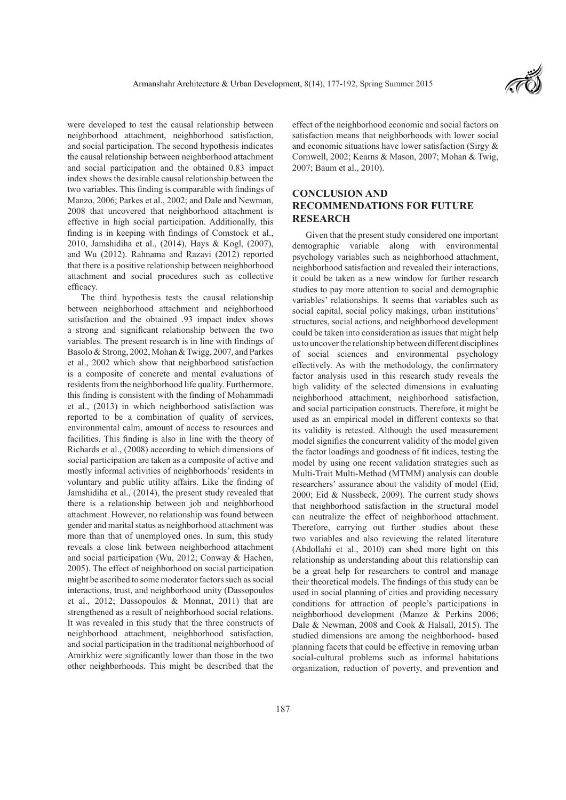were developed to test the causal relationship between neighborhood attachment, neighborhood satisfaction, and social participation. The second hypothesis indicates the causal relationship between neighborhood attachment and social participation and the obtained 0.83 impact index shows the desirable causal relationship between the two variables. This finding is comparable with findings of Manzo, 2006; Parkes et al., 2002; and Dale and Newman, 2008 that uncovered that neighborhood attachment is effective in high social participation. Additionally, this finding is in keeping with findings of Comstock et al., 2010, Jamshidiha et al., (2014), Hays & Kogl, (2007), and Wu (2012). Rahnama and Razavi (2012) reported that there is a positive relationship between neighborhood attachment and social procedures such as collective efficacy.

The third hypothesis tests the causal relationship between neighborhood attachment and neighborhood satisfaction and the obtained .93 impact index shows a strong and significant relationship between the two variables. The present research is in line with findings of Basolo & Strong, 2002, Mohan & Twigg, 2007, and Parkes et al., 2002 which show that neighborhood satisfaction is a composite of concrete and mental evaluations of residents from the neighborhood life quality. Furthermore, this finding is consistent with the finding of Mohammadi et al., (2013) in which neighborhood satisfaction was reported to be a combination of quality of services, environmental calm, amount of access to resources and facilities. This finding is also in line with the theory of Richards et al., (2008) according to which dimensions of social participation are taken as a composite of active and mostly informal activities of neighborhoods' residents in voluntary and public utility affairs. Like the finding of Jamshidiha et al., (2014), the present study revealed that there is a relationship between job and neighborhood attachment. However, no relationship was found between gender and marital status as neighborhood attachment was more than that of unemployed ones. In sum, this study reveals a close link between neighborhood attachment and social participation (Wu, 2012; Conway & Hachen, 2005). The effect of neighborhood on social participation might be ascribed to some moderator factors such as social interactions, trust, and neighborhood unity (Dassopoulos et al., 2012; Dassopoulos & Monnat, 2011) that are strengthened as a result of neighborhood social relations. It was revealed in this study that the three constructs of neighborhood attachment, neighborhood satisfaction, and social participation in the traditional neighborhood of Amirkhiz were significantly lower than those in the two other neighborhoods. This might be described that the

effect of the neighborhood economic and social factors on satisfaction means that neighborhoods with lower social and economic situations have lower satisfaction (Sirgy & Cornwell, 2002; Kearns & Mason, 2007; Mohan & Twig, 2007; Baum et al., 2010).

## **CONCLUSION AND RECOMMENDATIONS FOR FUTURE RESEARCH**

Given that the present study considered one important demographic variable along with environmental psychology variables such as neighborhood attachment, neighborhood satisfaction and revealed their interactions, it could be taken as a new window for further research studies to pay more attention to social and demographic variables' relationships. It seems that variables such as social capital, social policy makings, urban institutions' structures, social actions, and neighborhood development could be taken into consideration as issues that might help us to uncover the relationship between different disciplines of social sciences and environmental psychology effectively. As with the methodology, the confirmatory factor analysis used in this research study reveals the high validity of the selected dimensions in evaluating neighborhood attachment, neighborhood satisfaction, and social participation constructs. Therefore, it might be used as an empirical model in different contexts so that its validity is retested. Although the used measurement model signifies the concurrent validity of the model given the factor loadings and goodness of fit indices, testing the model by using one recent validation strategies such as Multi-Trait Multi-Method (MTMM) analysis can double researchers' assurance about the validity of model (Eid, 2000; Eid & Nussbeck, 2009). The current study shows that neighborhood satisfaction in the structural model can neutralize the effect of neighborhood attachment. Therefore, carrying out further studies about these two variables and also reviewing the related literature (Abdollahi et al., 2010) can shed more light on this relationship as understanding about this relationship can be a great help for researchers to control and manage their theoretical models. The findings of this study can be used in social planning of cities and providing necessary conditions for attraction of people's participations in neighborhood development (Manzo & Perkins 2006; Dale & Newman, 2008 and Cook & Halsall, 2015). The studied dimensions are among the neighborhood- based planning facets that could be effective in removing urban social-cultural problems such as informal habitations organization, reduction of poverty, and prevention and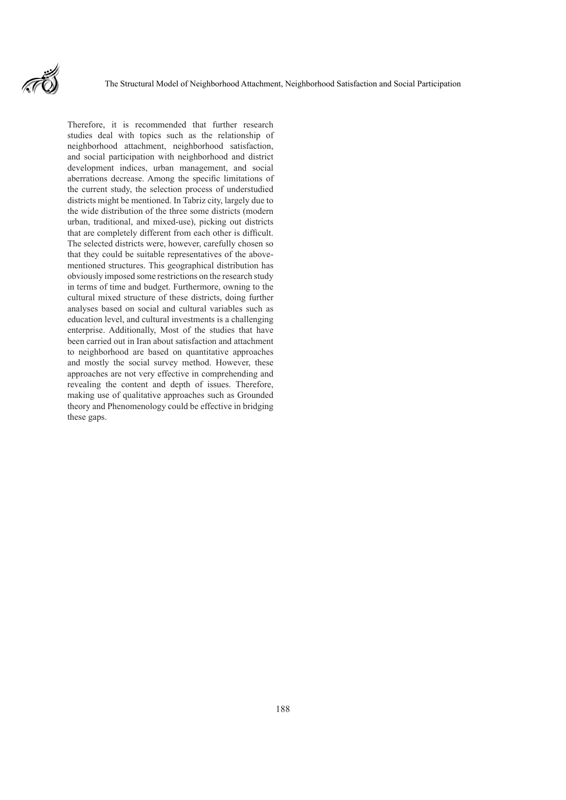

Therefore, it is recommended that further research studies deal with topics such as the relationship of neighborhood attachment, neighborhood satisfaction, and social participation with neighborhood and district development indices, urban management, and social aberrations decrease. Among the specific limitations of the current study, the selection process of understudied districts might be mentioned. In Tabriz city, largely due to the wide distribution of the three some districts (modern urban, traditional, and mixed-use), picking out districts that are completely different from each other is difficult. The selected districts were, however, carefully chosen so that they could be suitable representatives of the abovementioned structures. This geographical distribution has obviously imposed some restrictions on the research study in terms of time and budget. Furthermore, owning to the cultural mixed structure of these districts, doing further analyses based on social and cultural variables such as education level, and cultural investments is a challenging enterprise. Additionally, Most of the studies that have been carried out in Iran about satisfaction and attachment to neighborhood are based on quantitative approaches and mostly the social survey method. However, these approaches are not very effective in comprehending and revealing the content and depth of issues. Therefore, making use of qualitative approaches such as Grounded theory and Phenomenology could be effective in bridging these gaps.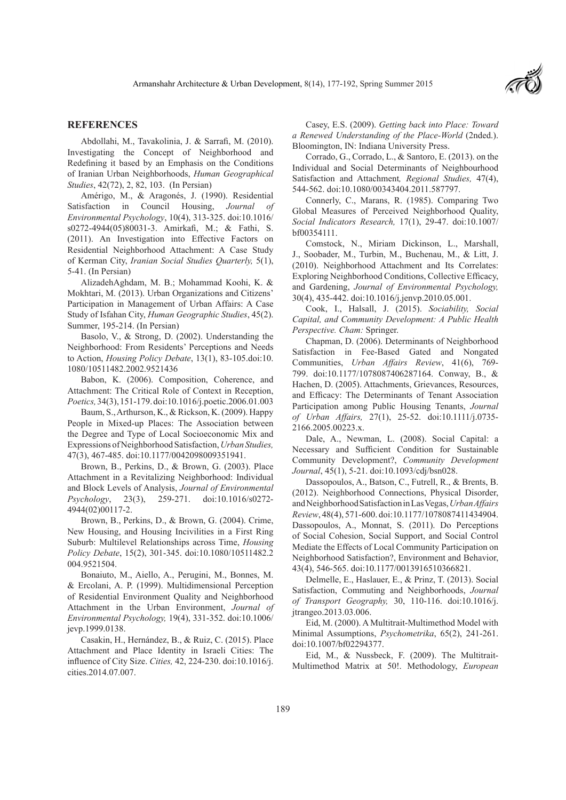

## **REFERENCES**

Abdollahi, M., Tavakolinia, J. & Sarrafi, M. (2010). Investigating the Concept of Neighborhood and Redefining it based by an Emphasis on the Conditions of Iranian Urban Neighborhoods, *Human Geographical Studies*, 42(72), 2, 82, 103. (In Persian)

Amérigo, M., & Aragonés, J. (1990). Residential Satisfaction in Council Housing, *Journal of Environmental Psychology*, 10(4), 313-325. doi:10.1016/ s0272-4944(05)80031-3. Amirkafi, M.; & Fathi, S. (2011). An Investigation into Effective Factors on Residential Neighborhood Attachment: A Case Study of Kerman City, *Iranian Social Studies Quarterly,* 5(1), 5-41. (In Persian)

AlizadehAghdam, M. B.; Mohammad Koohi, K. & Mokhtari, M. (2013). Urban Organizations and Citizens' Participation in Management of Urban Affairs: A Case Study of Isfahan City, *Human Geographic Studies*, 45(2). Summer, 195-214. (In Persian)

Basolo, V., & Strong, D. (2002). Understanding the Neighborhood: From Residents' Perceptions and Needs to Action, *Housing Policy Debate*, 13(1), 83-105.doi:10. 1080/10511482.2002.9521436

Babon, K. (2006). Composition, Coherence, and Attachment: The Critical Role of Context in Reception, *Poetics,* 34(3), 151-179. doi:10.1016/j.poetic.2006.01.003

Baum, S., Arthurson, K., & Rickson, K. (2009). Happy People in Mixed-up Places: The Association between the Degree and Type of Local Socioeconomic Mix and Expressions of Neighborhood Satisfaction, *Urban Studies,*  47(3), 467-485. doi:10.1177/0042098009351941.

Brown, B., Perkins, D., & Brown, G. (2003). Place Attachment in a Revitalizing Neighborhood: Individual and Block Levels of Analysis, *Journal of Environmental Psychology*, 23(3), 259-271. doi:10.1016/s0272- 4944(02)00117-2.

Brown, B., Perkins, D., & Brown, G. (2004). Crime, New Housing, and Housing Incivilities in a First Ring Suburb: Multilevel Relationships across Time, *Housing Policy Debate*, 15(2), 301-345. doi:10.1080/10511482.2 004.9521504.

Bonaiuto, M., Aiello, A., Perugini, M., Bonnes, M. & Ercolani, A. P. (1999). Multidimensional Perception of Residential Environment Quality and Neighborhood Attachment in the Urban Environment, *Journal of Environmental Psychology,* 19(4), 331-352. doi:10.1006/ jevp.1999.0138.

Casakin, H., Hernández, B., & Ruiz, C. (2015). Place Attachment and Place Identity in Israeli Cities: The influence of City Size. *Cities,* 42, 224-230. doi:10.1016/j. cities.2014.07.007.

Casey, E.S. (2009). *Getting back into Place: Toward a Renewed Understanding of the Place-World* (2nded.). Bloomington, IN: Indiana University Press.

Corrado, G., Corrado, L., & Santoro, E. (2013). on the Individual and Social Determinants of Neighbourhood Satisfaction and Attachment*, Regional Studies,* 47(4), 544-562. doi:10.1080/00343404.2011.587797.

Connerly, C., Marans, R. (1985). Comparing Two Global Measures of Perceived Neighborhood Quality, *Social Indicators Research,* 17(1), 29-47. doi:10.1007/ bf00354111.

Comstock, N., Miriam Dickinson, L., Marshall, J., Soobader, M., Turbin, M., Buchenau, M., & Litt, J. (2010). Neighborhood Attachment and Its Correlates: Exploring Neighborhood Conditions, Collective Efficacy, and Gardening, *Journal of Environmental Psychology,*  30(4), 435-442. doi:10.1016/j.jenvp.2010.05.001.

Cook, I., Halsall, J. (2015). *Sociability, Social Capital, and Community Development: A Public Health Perspective. Cham:* Springer.

Chapman, D. (2006). Determinants of Neighborhood Satisfaction in Fee-Based Gated and Nongated Communities, *Urban Affairs Review*, 41(6), 769- 799. doi:10.1177/1078087406287164. Conway, B., & Hachen, D. (2005). Attachments, Grievances, Resources, and Efficacy: The Determinants of Tenant Association Participation among Public Housing Tenants, *Journal of Urban Affairs,* 27(1), 25-52. doi:10.1111/j.0735- 2166.2005.00223.x.

Dale, A., Newman, L. (2008). Social Capital: a Necessary and Sufficient Condition for Sustainable Community Development?, *Community Development Journal*, 45(1), 5-21. doi:10.1093/cdj/bsn028.

Dassopoulos, A., Batson, C., Futrell, R., & Brents, B. (2012). Neighborhood Connections, Physical Disorder, and Neighborhood Satisfaction in Las Vegas, *Urban Affairs Review*, 48(4), 571-600. doi:10.1177/1078087411434904. Dassopoulos, A., Monnat, S. (2011). Do Perceptions of Social Cohesion, Social Support, and Social Control Mediate the Effects of Local Community Participation on Neighborhood Satisfaction?, Environment and Behavior, 43(4), 546-565. doi:10.1177/0013916510366821.

Delmelle, E., Haslauer, E., & Prinz, T. (2013). Social Satisfaction, Commuting and Neighborhoods, *Journal of Transport Geography,* 30, 110-116. doi:10.1016/j. jtrangeo.2013.03.006.

Eid, M. (2000). A Multitrait-Multimethod Model with Minimal Assumptions, *Psychometrika*, 65(2), 241-261. doi:10.1007/bf02294377.

Eid, M., & Nussbeck, F. (2009). The Multitrait-Multimethod Matrix at 50!. Methodology, *European*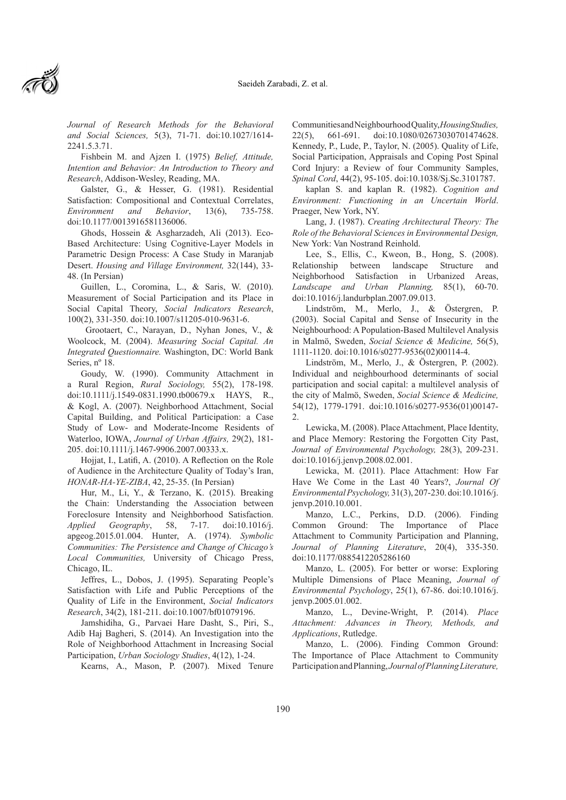*Journal of Research Methods for the Behavioral and Social Sciences,* 5(3), 71-71. doi:10.1027/1614- 2241.5.3.71.

Fishbein M. and Ajzen I. (1975) *Belief, Attitude, Intention and Behavior: An Introduction to Theory and Research*, Addison-Wesley, Reading, MA.

Galster, G., & Hesser, G. (1981). Residential Satisfaction: Compositional and Contextual Correlates, *Environment and Behavior*, 13(6), 735-758. doi:10.1177/0013916581136006.

Ghods, Hossein & Asgharzadeh, Ali (2013). Eco-Based Architecture: Using Cognitive-Layer Models in Parametric Design Process: A Case Study in Maranjab Desert. *Housing and Village Environment,* 32(144), 33- 48. (In Persian)

Guillen, L., Coromina, L., & Saris, W. (2010). Measurement of Social Participation and its Place in Social Capital Theory, *Social Indicators Research*, 100(2), 331-350. doi:10.1007/s11205-010-9631-6.

 Grootaert, C., Narayan, D., Nyhan Jones, V., & Woolcock, M. (2004). *Measuring Social Capital. An Integrated Questionnaire.* Washington, DC: World Bank Series, nº 18.

Goudy, W. (1990). Community Attachment in a Rural Region, *Rural Sociology,* 55(2), 178-198. doi:10.1111/j.1549-0831.1990.tb00679.x HAYS, R., & Kogl, A. (2007). Neighborhood Attachment, Social Capital Building, and Political Participation: a Case Study of Low- and Moderate-Income Residents of Waterloo, IOWA, *Journal of Urban Affairs,* 29(2), 181- 205. doi:10.1111/j.1467-9906.2007.00333.x.

Hojjat, I., Latifi, A. (2010). A Reflection on the Role of Audience in the Architecture Quality of Today's Iran, *HONAR-HA-YE-ZIBA*, 42, 25-35. (In Persian)

Hur, M., Li, Y., & Terzano, K. (2015). Breaking the Chain: Understanding the Association between Foreclosure Intensity and Neighborhood Satisfaction. *Applied Geography*, 58, 7-17. doi:10.1016/j. apgeog.2015.01.004. Hunter, A. (1974). *Symbolic Communities: The Persistence and Change of Chicago's Local Communities,* University of Chicago Press, Chicago, IL.

Jeffres, L., Dobos, J. (1995). Separating People's Satisfaction with Life and Public Perceptions of the Quality of Life in the Environment, *Social Indicators Research*, 34(2), 181-211. doi:10.1007/bf01079196.

Jamshidiha, G., Parvaei Hare Dasht, S., Piri, S., Adib Haj Bagheri, S. (2014). An Investigation into the Role of Neighborhood Attachment in Increasing Social Participation, *Urban Sociology Studies*, 4(12), 1-24.

Kearns, A., Mason, P. (2007). Mixed Tenure

Communities and Neighbourhood Quality, *Housing Studies,* 22(5), 661-691. doi:10.1080/02673030701474628. Kennedy, P., Lude, P., Taylor, N. (2005). Quality of Life, Social Participation, Appraisals and Coping Post Spinal Cord Injury: a Review of four Community Samples, *Spinal Cord*, 44(2), 95-105. doi:10.1038/Sj.Sc.3101787.

kaplan S. and kaplan R. (1982). *Cognition and Environment: Functioning in an Uncertain World*. Praeger, New York, NY.

Lang, J. (1987). *Creating Architectural Theory: The Role of the Behavioral Sciences in Environmental Design,* New York: Van Nostrand Reinhold.

Lee, S., Ellis, C., Kweon, B., Hong, S. (2008). Relationship between landscape Structure and Neighborhood Satisfaction in Urbanized Areas, *Landscape and Urban Planning,* 85(1), 60-70. doi:10.1016/j.landurbplan.2007.09.013.

Lindström, M., Merlo, J., & Östergren, P. (2003). Social Capital and Sense of Insecurity in the Neighbourhood: A Population-Based Multilevel Analysis in Malmö, Sweden, *Social Science & Medicine,* 56(5), 1111-1120. doi:10.1016/s0277-9536(02)00114-4.

Lindström, M., Merlo, J., & Östergren, P. (2002). Individual and neighbourhood determinants of social participation and social capital: a multilevel analysis of the city of Malmö, Sweden, *Social Science & Medicine,*  54(12), 1779-1791. doi:10.1016/s0277-9536(01)00147- 2.

Lewicka, M. (2008). Place Attachment, Place Identity, and Place Memory: Restoring the Forgotten City Past, *Journal of Environmental Psychology,* 28(3), 209-231. doi:10.1016/j.jenvp.2008.02.001.

Lewicka, M. (2011). Place Attachment: How Far Have We Come in the Last 40 Years?, *Journal Of Environmental Psychology,* 31(3), 207-230. doi:10.1016/j. jenvp.2010.10.001.

Manzo, L.C., Perkins, D.D. (2006). Finding Common Ground: The Importance of Place Attachment to Community Participation and Planning, *Journal of Planning Literature*, 20(4), 335-350. doi:10.1177/0885412205286160

Manzo, L. (2005). For better or worse: Exploring Multiple Dimensions of Place Meaning, *Journal of Environmental Psychology*, 25(1), 67-86. doi:10.1016/j. jenvp.2005.01.002.

Manzo, L., Devine-Wright, P. (2014). *Place Attachment: Advances in Theory, Methods, and Applications*, Rutledge.

Manzo, L. (2006). Finding Common Ground: The Importance of Place Attachment to Community Participation and Planning, *Journal of Planning Literature,*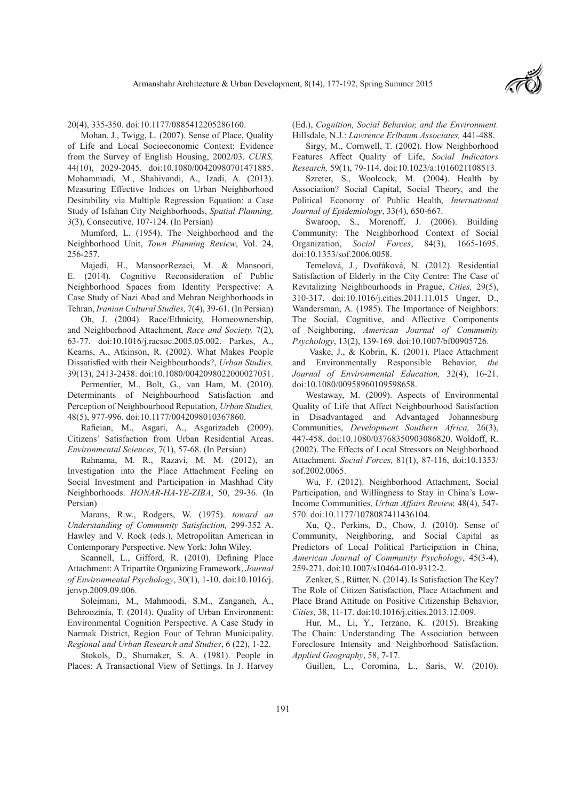

20(4), 335-350. doi:10.1177/0885412205286160.

Mohan, J., Twigg, L. (2007). Sense of Place, Quality of Life and Local Socioeconomic Context: Evidence from the Survey of English Housing, 2002/03. *CURS,*  44(10), 2029-2045. doi:10.1080/00420980701471885. Mohammadi, M., Shahivandi, A., Izadi, A. (2013). Measuring Effective Indices on Urban Neighborhood Desirability via Multiple Regression Equation: a Case Study of Isfahan City Neighborhoods, *Spatial Planning,*  3(3), Consecutive, 107-124. (In Persian)

Mumford, L. (1954). The Neighborhood and the Neighborhood Unit, *Town Planning Review*, Vol. 24, 256-257.

Majedi, H., MansoorRezaei, M. & Mansoori, E. (2014). Cognitive Reconsideration of Public Neighborhood Spaces from Identity Perspective: A Case Study of Nazi Abad and Mehran Neighborhoods in Tehran, *Iranian Cultural Studies,* 7(4), 39-61. (In Persian)

Oh, J. (2004). Race/Ethnicity, Homeownership, and Neighborhood Attachment, *Race and Society,* 7(2), 63-77. doi:10.1016/j.racsoc.2005.05.002. Parkes, A., Kearns, A., Atkinson, R. (2002). What Makes People Dissatisfied with their Neighbourhoods?, *Urban Studies,*  39(13), 2413-2438. doi:10.1080/0042098022000027031.

Permentier, M., Bolt, G., van Ham, M. (2010). Determinants of Neighbourhood Satisfaction and Perception of Neighbourhood Reputation, *Urban Studies,*  48(5), 977-996. doi:10.1177/0042098010367860.

Rafieian, M., Asgari, A., Asgarizadeh (2009). Citizens' Satisfaction from Urban Residential Areas. *Environmental Sciences*, 7(1), 57-68. (In Persian)

Rahnama, M. R., Razavi, M. M. (2012), an Investigation into the Place Attachment Feeling on Social Investment and Participation in Mashhad City Neighborhoods. *HONAR-HA-YE-ZIBA*, 50, 29-36. (In Persian)

Marans, R.w., Rodgers, W. (1975). *toward an Understanding of Community Satisfaction,* 299-352 A. Hawley and V. Rock (eds.), Metropolitan American in Contemporary Perspective. New York: John Wiley.

Scannell, L., Gifford, R. (2010). Defining Place Attachment: A Tripartite Organizing Framework, *Journal of Environmental Psychology*, 30(1), 1-10. doi:10.1016/j. jenvp.2009.09.006.

Soleimani, M., Mahmoodi, S.M., Zanganeh, A., Behroozinia, T. (2014). Quality of Urban Environment: Environmental Cognition Perspective. A Case Study in Narmak District, Region Four of Tehran Municipality. *Regional and Urban Research and Studies*, 6 (22), 1-22.

Stokols, D., Shumaker, S. A. (1981). People in Places: A Transactional View of Settings. In J. Harvey (Ed.), *Cognition, Social Behavior, and the Environment.*  Hillsdale, N.J.: *Lawrence Erlbaum Associates,* 441-488.

Sirgy, M., Cornwell, T. (2002). How Neighborhood Features Affect Quality of Life, *Social Indicators Research,* 59(1), 79-114. doi:10.1023/a:1016021108513.

Szreter, S., Woolcock, M. (2004). Health by Association? Social Capital, Social Theory, and the Political Economy of Public Health, *International Journal of Epidemiology*, 33(4), 650-667.

Swaroop, S., Morenoff, J. (2006). Building Community: The Neighborhood Context of Social Organization, *Social Forces*, 84(3), 1665-1695. doi:10.1353/sof.2006.0058.

Temelová, J., Dvořáková, N. (2012). Residential Satisfaction of Elderly in the City Centre: The Case of Revitalizing Neighbourhoods in Prague, *Cities,* 29(5), 310-317. doi:10.1016/j.cities.2011.11.015 Unger, D., Wandersman, A. (1985). The Importance of Neighbors: The Social, Cognitive, and Affective Components of Neighboring, *American Journal of Community Psychology*, 13(2), 139-169. doi:10.1007/bf00905726.

 Vaske, J., & Kobrin, K. (2001). Place Attachment and Environmentally Responsible Behavior, *the Journal of Environmental Education,* 32(4), 16-21. doi:10.1080/00958960109598658.

Westaway, M. (2009). Aspects of Environmental Quality of Life that Affect Neighbourhood Satisfaction in Disadvantaged and Advantaged Johannesburg Communities, *Development Southern Africa,* 26(3), 447-458. doi:10.1080/03768350903086820. Woldoff, R. (2002). The Effects of Local Stressors on Neighborhood Attachment. *Social Forces,* 81(1), 87-116, doi:10.1353/ sof.2002.0065.

Wu, F. (2012). Neighborhood Attachment, Social Participation, and Willingness to Stay in China's Low-Income Communities, *Urban Affairs Review,* 48(4), 547- 570. doi:10.1177/1078087411436104.

Xu, Q., Perkins, D., Chow, J. (2010). Sense of Community, Neighboring, and Social Capital as Predictors of Local Political Participation in China, *American Journal of Community Psychology*, 45(3-4), 259-271. doi:10.1007/s10464-010-9312-2.

Zenker, S., Rütter, N. (2014). Is Satisfaction The Key? The Role of Citizen Satisfaction, Place Attachment and Place Brand Attitude on Positive Citizenship Behavior, *Cities*, 38, 11-17. doi:10.1016/j.cities.2013.12.009.

Hur, M., Li, Y., Terzano, K. (2015). Breaking The Chain: Understanding The Association between Foreclosure Intensity and Neighborhood Satisfaction. *Applied Geography*, 58, 7-17.

Guillen, L., Coromina, L., Saris, W. (2010).